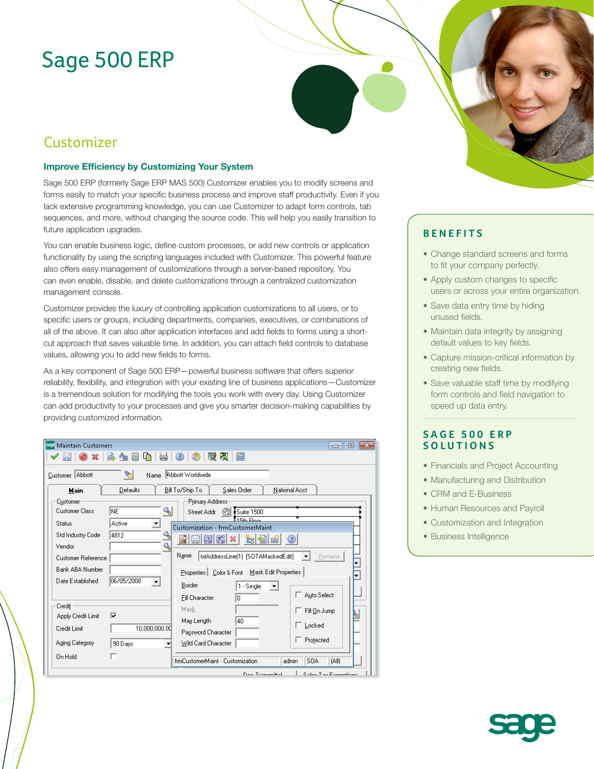# Sage 500 ERP

## Customizer

#### **Improve Efficiency by Customizing Your System**

Sage 500 ERP (formerly Sage ERP MAS 500) Customizer enables you to modify screens and forms easily to match your specific business process and improve staff productivity. Even if you lack extensive programming knowledge, you can use Customizer to adapt form controls, tab sequences, and more, without changing the source code. This will help you easily transition to future application upgrades.

You can enable business logic, define custom processes, or add new controls or application functionality by using the scripting languages included with Customizer. This powerful feature also offers easy management of customizations through a server-based repository. You can even enable, disable, and delete customizations through a centralized customization management console.

Customizer provides the luxury of controlling application customizations to all users, or to specific users or groups, including departments, companies, executives, or combinations of all of the above. It can also alter application interfaces and add fields to forms using a shortcut approach that saves valuable time. In addition, you can attach field controls to database values, allowing you to add new fields to forms.

As a key component of Sage 500 ERP—powerful business software that offers superior reliability, flexibility, and integration with your existing line of business applications—Customizer is a tremendous solution for modifying the tools you work with every day. Using Customizer can add productivity to your processes and give you smarter decision-making capabilities by providing customized information.

| $\mathcal{L}$<br>Name Abbott Worldwide<br>Bill To/Ship To<br>Defaults<br>Sales Order<br>National Acct<br>Main<br>Primary Address<br>Customer<br>۹<br><b>Customer Class</b><br>NE.<br>Suite 1500<br>Street Addr 8<br>15th Eloor<br>Active<br><b>Status</b><br>Customization - frmCustomerMaint<br>4812<br>Std Industry Code<br>eidei<br>너희<br>$\frac{1}{2}$<br>l Sir I<br>[co]<br>Q<br>Vendor<br>Name<br>txtAddressLine(1) [SOTAMaskedEdit]<br>Rename<br><b>Customer Reference</b><br>▼<br>Bank ABA Number<br>Properties   Color & Font   Mask Edit Properties<br>06/05/2008<br>Date Established<br>Border<br>1 - Single<br>Auto Select<br><b>Fill Character</b><br>In<br>Credit<br>Mask<br>Fill On Jump<br>⊽<br>Apply Credit Limit<br>Max Length<br>40<br>$\Box$ Locked<br>10,000,000.00<br>Credit Limit<br>Password Character<br>□ Protected<br>Aging Category<br>Wild Card Character<br>90 Days<br>On Hold<br>frmCustomerMaint - Customization<br>SOA<br>(All)<br>admin | <b>SEP Maintain Customers</b><br>l o<br>-33<br><b>-</b> |  |  |  |
|---------------------------------------------------------------------------------------------------------------------------------------------------------------------------------------------------------------------------------------------------------------------------------------------------------------------------------------------------------------------------------------------------------------------------------------------------------------------------------------------------------------------------------------------------------------------------------------------------------------------------------------------------------------------------------------------------------------------------------------------------------------------------------------------------------------------------------------------------------------------------------------------------------------------------------------------------------------------------|---------------------------------------------------------|--|--|--|
|                                                                                                                                                                                                                                                                                                                                                                                                                                                                                                                                                                                                                                                                                                                                                                                                                                                                                                                                                                           | 吸尽<br>簡                                                 |  |  |  |
|                                                                                                                                                                                                                                                                                                                                                                                                                                                                                                                                                                                                                                                                                                                                                                                                                                                                                                                                                                           | Customer Abbott                                         |  |  |  |
|                                                                                                                                                                                                                                                                                                                                                                                                                                                                                                                                                                                                                                                                                                                                                                                                                                                                                                                                                                           |                                                         |  |  |  |
|                                                                                                                                                                                                                                                                                                                                                                                                                                                                                                                                                                                                                                                                                                                                                                                                                                                                                                                                                                           |                                                         |  |  |  |
|                                                                                                                                                                                                                                                                                                                                                                                                                                                                                                                                                                                                                                                                                                                                                                                                                                                                                                                                                                           |                                                         |  |  |  |



- Change standard screens and forms to fit your company perfectly.
- Apply custom changes to specific users or across your entire organization.
- Save data entry time by hiding unused fields.
- Maintain data integrity by assigning default values to key fields.
- Capture mission-critical information by creating new fields.
- Save valuable staff time by modifying form controls and field navigation to speed up data entry.

### **SAGE 500 ERP SOLUTIONS**

- Financials and Project Accounting
- Manufacturing and Distribution
- CRM and E-Business
- Human Resources and Payroll
- Customization and Integration
- Business Intelligence